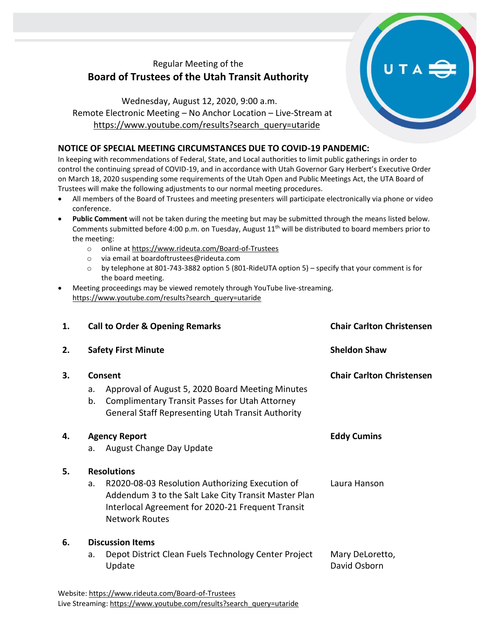# Regular Meeting of the **Board of Trustees of the Utah Transit Authority**

Wednesday, August 12, 2020, 9:00 a.m. Remote Electronic Meeting – No Anchor Location – Live-Stream at [https://www.youtube.com/results?search\\_query=utaride](https://www.youtube.com/results?search_query=utaride)

### **NOTICE OF SPECIAL MEETING CIRCUMSTANCES DUE TO COVID-19 PANDEMIC:**

In keeping with recommendations of Federal, State, and Local authorities to limit public gatherings in order to control the continuing spread of COVID-19, and in accordance with Utah Governor Gary Herbert's Executive Order on March 18, 2020 suspending some requirements of the Utah Open and Public Meetings Act, the UTA Board of Trustees will make the following adjustments to our normal meeting procedures.

- All members of the Board of Trustees and meeting presenters will participate electronically via phone or video conference.
- **Public Comment** will not be taken during the meeting but may be submitted through the means listed below. Comments submitted before 4:00 p.m. on Tuesday, August 11<sup>th</sup> will be distributed to board members prior to the meeting:
	- o online at <https://www.rideuta.com/Board-of-Trustees>
	- o via email at [boardoftrustees@rideuta.com](mailto:boardoftrustees@rideuta.com)
	- o by telephone at 801-743-3882 option 5 (801-RideUTA option 5) specify that your comment is for the board meeting.
- Meeting proceedings may be viewed remotely through YouTube live-streaming. [https://www.youtube.com/results?search\\_query=utaride](https://www.youtube.com/results?search_query=utaride)

| 1. | <b>Call to Order &amp; Opening Remarks</b>                                                                                                                                                   | <b>Chair Carlton Christensen</b> |
|----|----------------------------------------------------------------------------------------------------------------------------------------------------------------------------------------------|----------------------------------|
| 2. | <b>Safety First Minute</b>                                                                                                                                                                   | <b>Sheldon Shaw</b>              |
| 3. | Consent<br>Approval of August 5, 2020 Board Meeting Minutes<br>a.<br>b.<br><b>Complimentary Transit Passes for Utah Attorney</b><br><b>General Staff Representing Utah Transit Authority</b> | <b>Chair Carlton Christensen</b> |
| 4. | <b>Agency Report</b><br><b>August Change Day Update</b><br>a.                                                                                                                                | <b>Eddy Cumins</b>               |
| 5. | <b>Resolutions</b>                                                                                                                                                                           |                                  |
|    | R2020-08-03 Resolution Authorizing Execution of<br>a.<br>Addendum 3 to the Salt Lake City Transit Master Plan<br>Interlocal Agreement for 2020-21 Frequent Transit<br><b>Network Routes</b>  | Laura Hanson                     |
| 6. | <b>Discussion Items</b>                                                                                                                                                                      |                                  |
|    | Depot District Clean Fuels Technology Center Project<br>a.<br>Update                                                                                                                         | Mary DeLoretto,<br>David Osborn  |